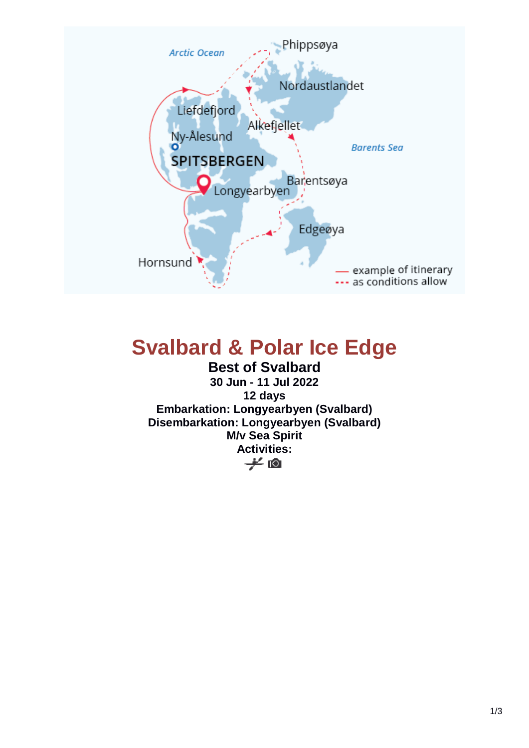

# **Svalbard & Polar Ice Edge**

**Best of Svalbard 30 Jun - 11 Jul 2022 12 days Embarkation: Longyearbyen (Svalbard) Disembarkation: Longyearbyen (Svalbard) M/v Sea Spirit Activities:**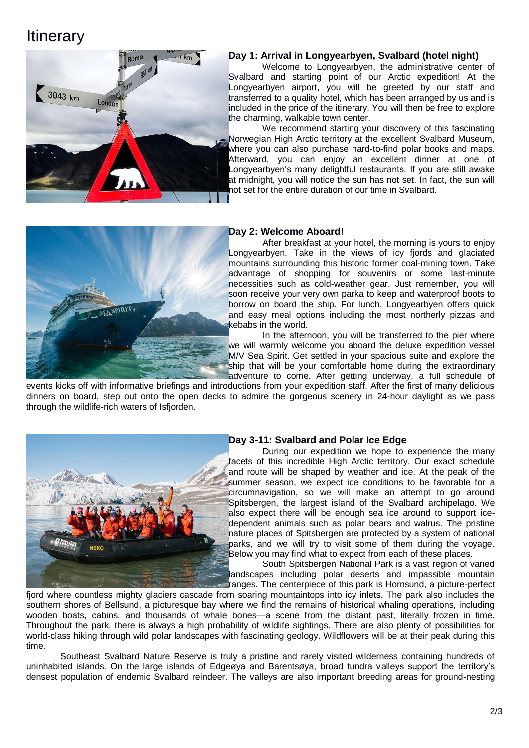# **Itinerary**



## **Day 1: Arrival in Longyearbyen, Svalbard (hotel night)**

Welcome to Longyearbyen, the administrative center of Svalbard and starting point of our Arctic expedition! At the Longyearbyen airport, you will be greeted by our staff and transferred to a quality hotel, which has been arranged by us and is included in the price of the itinerary. You will then be free to explore the charming, walkable town center.

We recommend starting your discovery of this fascinating Norwegian High Arctic territory at the excellent Svalbard Museum, where you can also purchase hard-to-find polar books and maps. Afterward, you can enjoy an excellent dinner at one of Longyearbyen's many delightful restaurants. If you are still awake at midnight, you will notice the sun has not set. In fact, the sun will not set for the entire duration of our time in Svalbard.



#### **Day 2: Welcome Aboard!**

After breakfast at your hotel, the morning is yours to enjoy Longyearbyen. Take in the views of icy fjords and glaciated mountains surrounding this historic former coal-mining town. Take advantage of shopping for souvenirs or some last-minute necessities such as cold-weather gear. Just remember, you will soon receive your very own parka to keep and waterproof boots to borrow on board the ship. For lunch, Longyearbyen offers quick and easy meal options including the most northerly pizzas and kebabs in the world.

In the afternoon, you will be transferred to the pier where we will warmly welcome you aboard the deluxe expedition vessel M/V Sea Spirit. Get settled in your spacious suite and explore the ship that will be your comfortable home during the extraordinary adventure to come. After getting underway, a full schedule of

events kicks off with informative briefings and introductions from your expedition staff. After the first of many delicious dinners on board, step out onto the open decks to admire the gorgeous scenery in 24-hour daylight as we pass through the wildlife-rich waters of Isfjorden.



## **Day 3-11: Svalbard and Polar Ice Edge**

During our expedition we hope to experience the many facets of this incredible High Arctic territory. Our exact schedule and route will be shaped by weather and ice. At the peak of the summer season, we expect ice conditions to be favorable for a circumnavigation, so we will make an attempt to go around Spitsbergen, the largest island of the Svalbard archipelago. We also expect there will be enough sea ice around to support icedependent animals such as polar bears and walrus. The pristine nature places of Spitsbergen are protected by a system of national parks, and we will try to visit some of them during the voyage. Below you may find what to expect from each of these places.

South Spitsbergen National Park is a vast region of varied landscapes including polar deserts and impassible mountain ranges. The centerpiece of this park is Hornsund, a picture-perfect

fjord where countless mighty glaciers cascade from soaring mountaintops into icy inlets. The park also includes the southern shores of Bellsund, a picturesque bay where we find the remains of historical whaling operations, including wooden boats, cabins, and thousands of whale bones—a scene from the distant past, literally frozen in time. Throughout the park, there is always a high probability of wildlife sightings. There are also plenty of possibilities for world-class hiking through wild polar landscapes with fascinating geology. Wildflowers will be at their peak during this time.

Southeast Svalbard Nature Reserve is truly a pristine and rarely visited wilderness containing hundreds of uninhabited islands. On the large islands of Edgeøya and Barentsøya, broad tundra valleys support the territory's densest population of endemic Svalbard reindeer. The valleys are also important breeding areas for ground-nesting